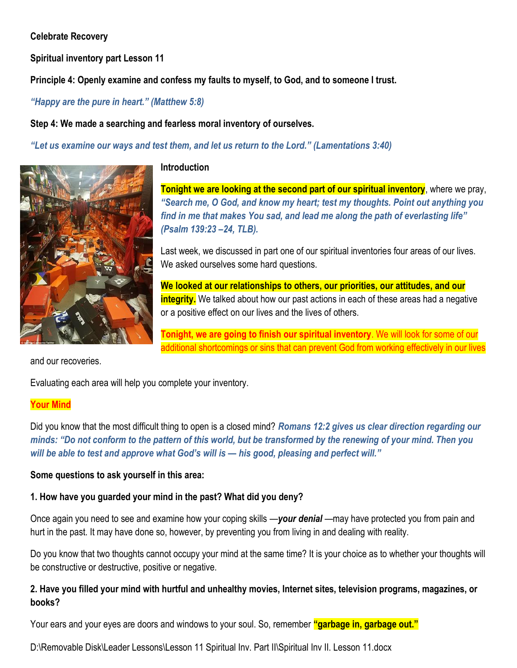## **Celebrate Recovery**

**Spiritual inventory part Lesson 11**

**Principle 4: Openly examine and confess my faults to myself, to God, and to someone I trust.** 

*"Happy are the pure in heart." (Matthew 5:8)* 

**Step 4: We made a searching and fearless moral inventory of ourselves.** 

*"Let us examine our ways and test them, and let us return to the Lord." (Lamentations 3:40)* 



## **Introduction**

**Tonight we are looking at the second part of our spiritual inventory**, where we pray, *"Search me, O God, and know my heart; test my thoughts. Point out anything you find in me that makes You sad, and lead me along the path of everlasting life" (Psalm 139:23 –24, TLB).* 

Last week, we discussed in part one of our spiritual inventories four areas of our lives. We asked ourselves some hard questions.

**We looked at our relationships to others, our priorities, our attitudes, and our integrity.** We talked about how our past actions in each of these areas had a negative or a positive effect on our lives and the lives of others.

**Tonight, we are going to finish our spiritual inventory**. We will look for some of our additional shortcomings or sins that can prevent God from working effectively in our lives

and our recoveries.

Evaluating each area will help you complete your inventory.

## **Your Mind**

Did you know that the most difficult thing to open is a closed mind? *Romans 12:2 gives us clear direction regarding our minds: "Do not conform to the pattern of this world, but be transformed by the renewing of your mind. Then you will be able to test and approve what God's will is — his good, pleasing and perfect will."* 

## **Some questions to ask yourself in this area:**

# **1. How have you guarded your mind in the past? What did you deny?**

Once again you need to see and examine how your coping skills —*your denial* —may have protected you from pain and hurt in the past. It may have done so, however, by preventing you from living in and dealing with reality.

Do you know that two thoughts cannot occupy your mind at the same time? It is your choice as to whether your thoughts will be constructive or destructive, positive or negative.

# **2. Have you filled your mind with hurtful and unhealthy movies, Internet sites, television programs, magazines, or books?**

Your ears and your eyes are doors and windows to your soul. So, remember "garbage in, garbage out."

D:\Removable Disk\Leader Lessons\Lesson 11 Spiritual Inv. Part II\Spiritual Inv II. Lesson 11.docx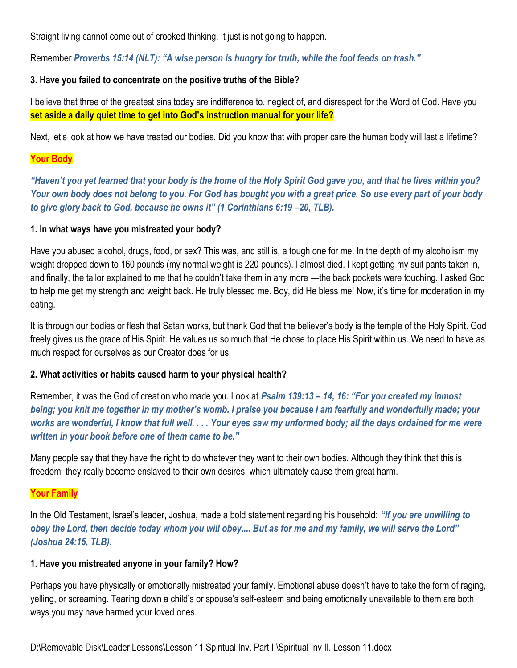Straight living cannot come out of crooked thinking. It just is not going to happen.

Remember *Proverbs 15:14 (NLT): "A wise person is hungry for truth, while the fool feeds on trash."*

# **3. Have you failed to concentrate on the positive truths of the Bible?**

I believe that three of the greatest sins today are indifference to, neglect of, and disrespect for the Word of God. Have you **set aside a daily quiet time to get into God's instruction manual for your life?**

Next, let's look at how we have treated our bodies. Did you know that with proper care the human body will last a lifetime?

# **Your Body**

*"Haven't you yet learned that your body is the home of the Holy Spirit God gave you, and that he lives within you? Your own body does not belong to you. For God has bought you with a great price. So use every part of your body to give glory back to God, because he owns it" (1 Corinthians 6:19 –20, TLB).* 

## **1. In what ways have you mistreated your body?**

Have you abused alcohol, drugs, food, or sex? This was, and still is, a tough one for me. In the depth of my alcoholism my weight dropped down to 160 pounds (my normal weight is 220 pounds). I almost died. I kept getting my suit pants taken in, and finally, the tailor explained to me that he couldn't take them in any more —the back pockets were touching. I asked God to help me get my strength and weight back. He truly blessed me. Boy, did He bless me! Now, it's time for moderation in my eating.

It is through our bodies or flesh that Satan works, but thank God that the believer's body is the temple of the Holy Spirit. God freely gives us the grace of His Spirit. He values us so much that He chose to place His Spirit within us. We need to have as much respect for ourselves as our Creator does for us.

# **2. What activities or habits caused harm to your physical health?**

Remember, it was the God of creation who made you. Look at *Psalm 139:13 – 14, 16: "For you created my inmost being; you knit me together in my mother's womb. I praise you because I am fearfully and wonderfully made; your works are wonderful, I know that full well. . . . Your eyes saw my unformed body; all the days ordained for me were written in your book before one of them came to be."* 

Many people say that they have the right to do whatever they want to their own bodies. Although they think that this is freedom, they really become enslaved to their own desires, which ultimately cause them great harm.

# **Your Family**

In the Old Testament, Israel's leader, Joshua, made a bold statement regarding his household: *"If you are unwilling to obey the Lord, then decide today whom you will obey.... But as for me and my family, we will serve the Lord" (Joshua 24:15, TLB).* 

## **1. Have you mistreated anyone in your family? How?**

Perhaps you have physically or emotionally mistreated your family. Emotional abuse doesn't have to take the form of raging, yelling, or screaming. Tearing down a child's or spouse's self-esteem and being emotionally unavailable to them are both ways you may have harmed your loved ones.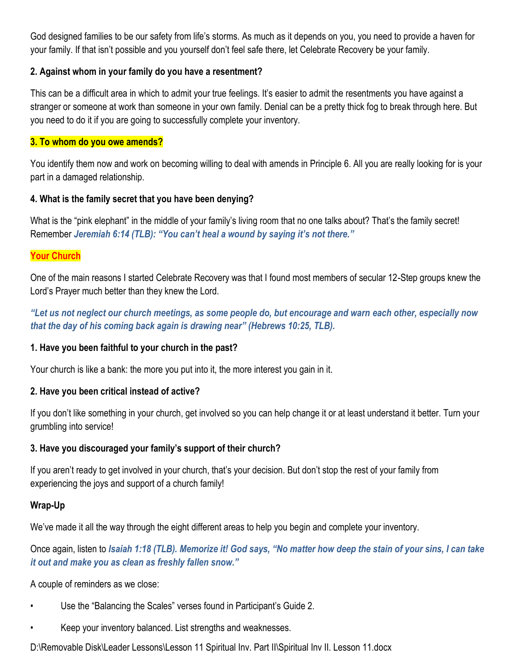God designed families to be our safety from life's storms. As much as it depends on you, you need to provide a haven for your family. If that isn't possible and you yourself don't feel safe there, let Celebrate Recovery be your family.

## **2. Against whom in your family do you have a resentment?**

This can be a difficult area in which to admit your true feelings. It's easier to admit the resentments you have against a stranger or someone at work than someone in your own family. Denial can be a pretty thick fog to break through here. But you need to do it if you are going to successfully complete your inventory.

## **3. To whom do you owe amends?**

You identify them now and work on becoming willing to deal with amends in Principle 6. All you are really looking for is your part in a damaged relationship.

### **4. What is the family secret that you have been denying?**

What is the "pink elephant" in the middle of your family's living room that no one talks about? That's the family secret! Remember *Jeremiah 6:14 (TLB): "You can't heal a wound by saying it's not there."* 

### **Your Church**

One of the main reasons I started Celebrate Recovery was that I found most members of secular 12-Step groups knew the Lord's Prayer much better than they knew the Lord.

*"Let us not neglect our church meetings, as some people do, but encourage and warn each other, especially now that the day of his coming back again is drawing near" (Hebrews 10:25, TLB).* 

## **1. Have you been faithful to your church in the past?**

Your church is like a bank: the more you put into it, the more interest you gain in it.

### **2. Have you been critical instead of active?**

If you don't like something in your church, get involved so you can help change it or at least understand it better. Turn your grumbling into service!

### **3. Have you discouraged your family's support of their church?**

If you aren't ready to get involved in your church, that's your decision. But don't stop the rest of your family from experiencing the joys and support of a church family!

### **Wrap-Up**

We've made it all the way through the eight different areas to help you begin and complete your inventory.

Once again, listen to *Isaiah 1:18 (TLB). Memorize it! God says, "No matter how deep the stain of your sins, I can take it out and make you as clean as freshly fallen snow."* 

A couple of reminders as we close:

- Use the "Balancing the Scales" verses found in Participant's Guide 2.
- Keep your inventory balanced. List strengths and weaknesses.

D:\Removable Disk\Leader Lessons\Lesson 11 Spiritual Inv. Part II\Spiritual Inv II. Lesson 11.docx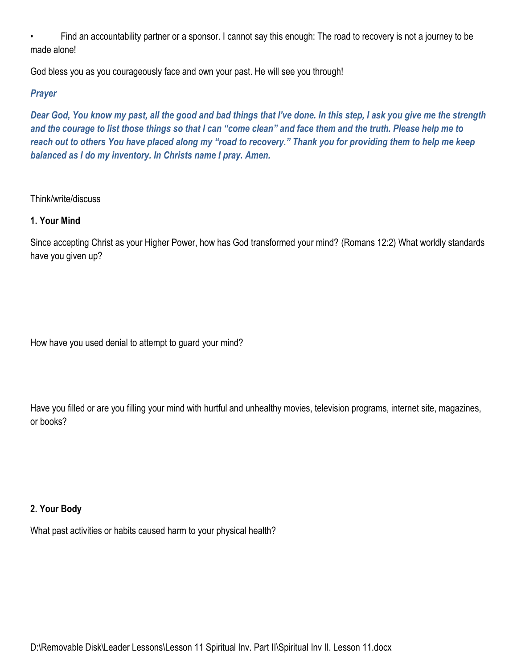• Find an accountability partner or a sponsor. I cannot say this enough: The road to recovery is not a journey to be made alone!

God bless you as you courageously face and own your past. He will see you through!

## *Prayer*

*Dear God, You know my past, all the good and bad things that I've done. In this step, I ask you give me the strength and the courage to list those things so that I can "come clean" and face them and the truth. Please help me to reach out to others You have placed along my "road to recovery." Thank you for providing them to help me keep balanced as I do my inventory. In Christs name I pray. Amen.*

## Think/write/discuss

## **1. Your Mind**

Since accepting Christ as your Higher Power, how has God transformed your mind? (Romans 12:2) What worldly standards have you given up?

How have you used denial to attempt to guard your mind?

Have you filled or are you filling your mind with hurtful and unhealthy movies, television programs, internet site, magazines, or books?

### **2. Your Body**

What past activities or habits caused harm to your physical health?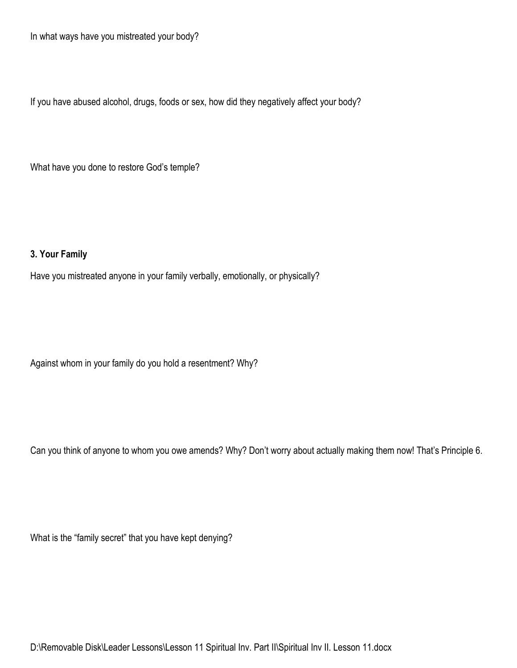If you have abused alcohol, drugs, foods or sex, how did they negatively affect your body?

What have you done to restore God's temple?

## **3. Your Family**

Have you mistreated anyone in your family verbally, emotionally, or physically?

Against whom in your family do you hold a resentment? Why?

Can you think of anyone to whom you owe amends? Why? Don't worry about actually making them now! That's Principle 6.

What is the "family secret" that you have kept denying?